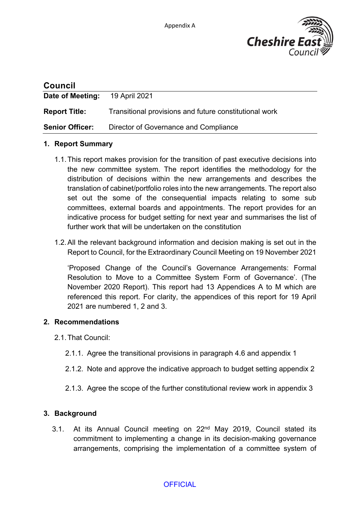

| <b>Council</b>         |                                                        |
|------------------------|--------------------------------------------------------|
| Date of Meeting:       | 19 April 2021                                          |
| <b>Report Title:</b>   | Transitional provisions and future constitutional work |
| <b>Senior Officer:</b> | Director of Governance and Compliance                  |

#### **1. Report Summary**

- 1.1.This report makes provision for the transition of past executive decisions into the new committee system. The report identifies the methodology for the distribution of decisions within the new arrangements and describes the translation of cabinet/portfolio roles into the new arrangements. The report also set out the some of the consequential impacts relating to some sub committees, external boards and appointments. The report provides for an indicative process for budget setting for next year and summarises the list of further work that will be undertaken on the constitution
- 1.2.All the relevant background information and decision making is set out in the Report to Council, for the Extraordinary Council Meeting on 19 November 2021

'Proposed Change of the Council's Governance Arrangements: Formal Resolution to Move to a Committee System Form of Governance'. (The November 2020 Report). This report had 13 Appendices A to M which are referenced this report. For clarity, the appendices of this report for 19 April 2021 are numbered 1, 2 and 3.

#### **2. Recommendations**

- 2.1.That Council:
	- 2.1.1. Agree the transitional provisions in paragraph 4.6 and appendix 1
	- 2.1.2. Note and approve the indicative approach to budget setting appendix 2
	- 2.1.3. Agree the scope of the further constitutional review work in appendix 3

#### **3. Background**

3.1. At its Annual Council meeting on 22nd May 2019, Council stated its commitment to implementing a change in its decision-making governance arrangements, comprising the implementation of a committee system of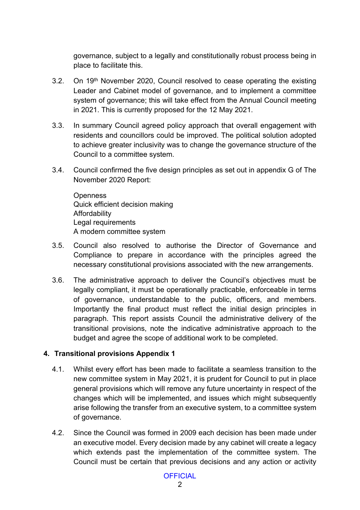governance, subject to a legally and constitutionally robust process being in place to facilitate this.

- 3.2. On 19th November 2020, Council resolved to cease operating the existing Leader and Cabinet model of governance, and to implement a committee system of governance; this will take effect from the Annual Council meeting in 2021. This is currently proposed for the 12 May 2021.
- 3.3. In summary Council agreed policy approach that overall engagement with residents and councillors could be improved. The political solution adopted to achieve greater inclusivity was to change the governance structure of the Council to a committee system.
- 3.4. Council confirmed the five design principles as set out in appendix G of The November 2020 Report:

**Openness** Quick efficient decision making Affordability Legal requirements A modern committee system

- 3.5. Council also resolved to authorise the Director of Governance and Compliance to prepare in accordance with the principles agreed the necessary constitutional provisions associated with the new arrangements.
- 3.6. The administrative approach to deliver the Council's objectives must be legally compliant, it must be operationally practicable, enforceable in terms of governance, understandable to the public, officers, and members. Importantly the final product must reflect the initial design principles in paragraph. This report assists Council the administrative delivery of the transitional provisions, note the indicative administrative approach to the budget and agree the scope of additional work to be completed.

#### **4. Transitional provisions Appendix 1**

- 4.1. Whilst every effort has been made to facilitate a seamless transition to the new committee system in May 2021, it is prudent for Council to put in place general provisions which will remove any future uncertainty in respect of the changes which will be implemented, and issues which might subsequently arise following the transfer from an executive system, to a committee system of governance.
- 4.2. Since the Council was formed in 2009 each decision has been made under an executive model. Every decision made by any cabinet will create a legacy which extends past the implementation of the committee system. The Council must be certain that previous decisions and any action or activity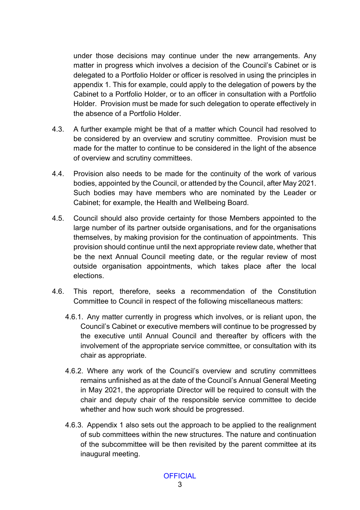under those decisions may continue under the new arrangements. Any matter in progress which involves a decision of the Council's Cabinet or is delegated to a Portfolio Holder or officer is resolved in using the principles in appendix 1. This for example, could apply to the delegation of powers by the Cabinet to a Portfolio Holder, or to an officer in consultation with a Portfolio Holder. Provision must be made for such delegation to operate effectively in the absence of a Portfolio Holder.

- 4.3. A further example might be that of a matter which Council had resolved to be considered by an overview and scrutiny committee. Provision must be made for the matter to continue to be considered in the light of the absence of overview and scrutiny committees.
- 4.4. Provision also needs to be made for the continuity of the work of various bodies, appointed by the Council, or attended by the Council, after May 2021. Such bodies may have members who are nominated by the Leader or Cabinet; for example, the Health and Wellbeing Board.
- 4.5. Council should also provide certainty for those Members appointed to the large number of its partner outside organisations, and for the organisations themselves, by making provision for the continuation of appointments. This provision should continue until the next appropriate review date, whether that be the next Annual Council meeting date, or the regular review of most outside organisation appointments, which takes place after the local elections.
- 4.6. This report, therefore, seeks a recommendation of the Constitution Committee to Council in respect of the following miscellaneous matters:
	- 4.6.1. Any matter currently in progress which involves, or is reliant upon, the Council's Cabinet or executive members will continue to be progressed by the executive until Annual Council and thereafter by officers with the involvement of the appropriate service committee, or consultation with its chair as appropriate.
	- 4.6.2. Where any work of the Council's overview and scrutiny committees remains unfinished as at the date of the Council's Annual General Meeting in May 2021, the appropriate Director will be required to consult with the chair and deputy chair of the responsible service committee to decide whether and how such work should be progressed.
	- 4.6.3. Appendix 1 also sets out the approach to be applied to the realignment of sub committees within the new structures. The nature and continuation of the subcommittee will be then revisited by the parent committee at its inaugural meeting.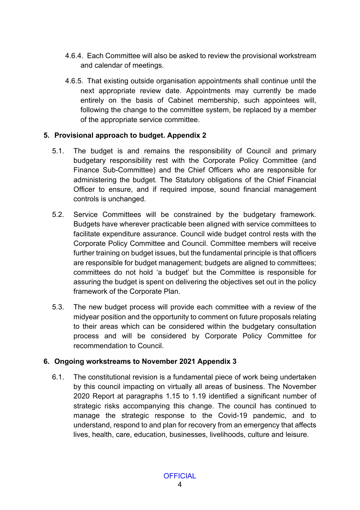- 4.6.4. Each Committee will also be asked to review the provisional workstream and calendar of meetings.
- 4.6.5. That existing outside organisation appointments shall continue until the next appropriate review date. Appointments may currently be made entirely on the basis of Cabinet membership, such appointees will, following the change to the committee system, be replaced by a member of the appropriate service committee.

### **5. Provisional approach to budget. Appendix 2**

- 5.1. The budget is and remains the responsibility of Council and primary budgetary responsibility rest with the Corporate Policy Committee (and Finance Sub-Committee) and the Chief Officers who are responsible for administering the budget. The Statutory obligations of the Chief Financial Officer to ensure, and if required impose, sound financial management controls is unchanged.
- 5.2. Service Committees will be constrained by the budgetary framework. Budgets have wherever practicable been aligned with service committees to facilitate expenditure assurance. Council wide budget control rests with the Corporate Policy Committee and Council. Committee members will receive further training on budget issues, but the fundamental principle is that officers are responsible for budget management; budgets are aligned to committees; committees do not hold 'a budget' but the Committee is responsible for assuring the budget is spent on delivering the objectives set out in the policy framework of the Corporate Plan.
- 5.3. The new budget process will provide each committee with a review of the midyear position and the opportunity to comment on future proposals relating to their areas which can be considered within the budgetary consultation process and will be considered by Corporate Policy Committee for recommendation to Council.

# **6. Ongoing workstreams to November 2021 Appendix 3**

6.1. The constitutional revision is a fundamental piece of work being undertaken by this council impacting on virtually all areas of business. The November 2020 Report at paragraphs 1.15 to 1.19 identified a significant number of strategic risks accompanying this change. The council has continued to manage the strategic response to the Covid-19 pandemic, and to understand, respond to and plan for recovery from an emergency that affects lives, health, care, education, businesses, livelihoods, culture and leisure.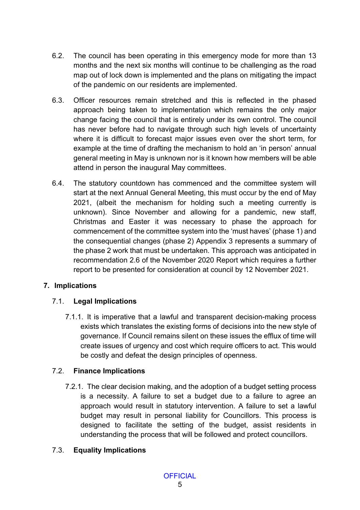- 6.2. The council has been operating in this emergency mode for more than 13 months and the next six months will continue to be challenging as the road map out of lock down is implemented and the plans on mitigating the impact of the pandemic on our residents are implemented.
- 6.3. Officer resources remain stretched and this is reflected in the phased approach being taken to implementation which remains the only major change facing the council that is entirely under its own control. The council has never before had to navigate through such high levels of uncertainty where it is difficult to forecast major issues even over the short term, for example at the time of drafting the mechanism to hold an 'in person' annual general meeting in May is unknown nor is it known how members will be able attend in person the inaugural May committees.
- 6.4. The statutory countdown has commenced and the committee system will start at the next Annual General Meeting, this must occur by the end of May 2021, (albeit the mechanism for holding such a meeting currently is unknown). Since November and allowing for a pandemic, new staff, Christmas and Easter it was necessary to phase the approach for commencement of the committee system into the 'must haves' (phase 1) and the consequential changes (phase 2) Appendix 3 represents a summary of the phase 2 work that must be undertaken. This approach was anticipated in recommendation 2.6 of the November 2020 Report which requires a further report to be presented for consideration at council by 12 November 2021.

# **7. Implications**

# 7.1. **Legal Implications**

7.1.1. It is imperative that a lawful and transparent decision-making process exists which translates the existing forms of decisions into the new style of governance. If Council remains silent on these issues the efflux of time will create issues of urgency and cost which require officers to act. This would be costly and defeat the design principles of openness.

### 7.2. **Finance Implications**

7.2.1. The clear decision making, and the adoption of a budget setting process is a necessity. A failure to set a budget due to a failure to agree an approach would result in statutory intervention. A failure to set a lawful budget may result in personal liability for Councillors. This process is designed to facilitate the setting of the budget, assist residents in understanding the process that will be followed and protect councillors.

### 7.3. **Equality Implications**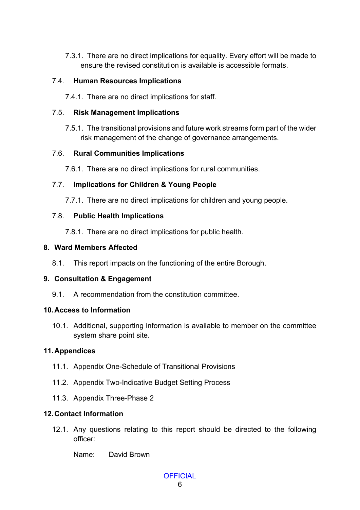7.3.1. There are no direct implications for equality. Every effort will be made to ensure the revised constitution is available is accessible formats.

### 7.4. **Human Resources Implications**

7.4.1. There are no direct implications for staff.

### 7.5. **Risk Management Implications**

7.5.1. The transitional provisions and future work streams form part of the wider risk management of the change of governance arrangements.

### 7.6. **Rural Communities Implications**

7.6.1. There are no direct implications for rural communities.

### 7.7. **Implications for Children & Young People**

7.7.1. There are no direct implications for children and young people.

### 7.8. **Public Health Implications**

7.8.1. There are no direct implications for public health.

#### **8. Ward Members Affected**

8.1. This report impacts on the functioning of the entire Borough.

#### **9. Consultation & Engagement**

9.1. A recommendation from the constitution committee.

#### **10.Access to Information**

10.1. Additional, supporting information is available to member on the committee system share point site.

### **11.Appendices**

- 11.1. Appendix One-Schedule of Transitional Provisions
- 11.2. Appendix Two-Indicative Budget Setting Process
- 11.3. Appendix Three-Phase 2

### **12.Contact Information**

12.1. Any questions relating to this report should be directed to the following officer:

Name: David Brown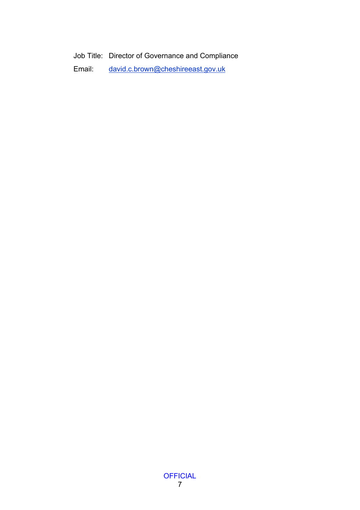Job Title: Director of Governance and Compliance

Email: [david.c.brown@cheshireeast.gov.uk](mailto:david.c.brown@cheshireeast.gov.uk)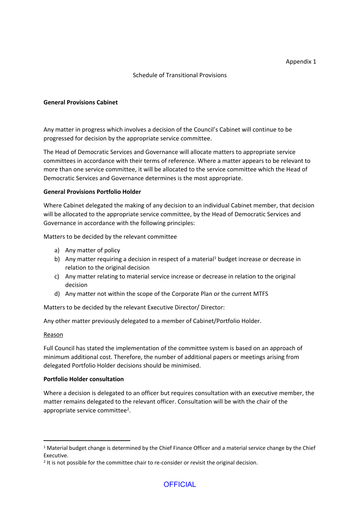#### Schedule of Transitional Provisions

#### **General Provisions Cabinet**

Any matter in progress which involves a decision of the Council's Cabinet will continue to be progressed for decision by the appropriate service committee.

The Head of Democratic Services and Governance will allocate matters to appropriate service committees in accordance with their terms of reference. Where a matter appears to be relevant to more than one service committee, it will be allocated to the service committee which the Head of Democratic Services and Governance determines is the most appropriate.

#### **General Provisions Portfolio Holder**

Where Cabinet delegated the making of any decision to an individual Cabinet member, that decision will be allocated to the appropriate service committee, by the Head of Democratic Services and Governance in accordance with the following principles:

Matters to be decided by the relevant committee

- a) Any matter of policy
- b) Any matter requiring a decision in respect of a material<sup>1</sup> budget increase or decrease in relation to the original decision
- c) Any matter relating to material service increase or decrease in relation to the original decision
- d) Any matter not within the scope of the Corporate Plan or the current MTFS

Matters to be decided by the relevant Executive Director/ Director:

Any other matter previously delegated to a member of Cabinet/Portfolio Holder.

#### Reason

Full Council has stated the implementation of the committee system is based on an approach of minimum additional cost. Therefore, the number of additional papers or meetings arising from delegated Portfolio Holder decisions should be minimised.

#### **Portfolio Holder consultation**

Where a decision is delegated to an officer but requires consultation with an executive member, the matter remains delegated to the relevant officer. Consultation will be with the chair of the appropriate service committee<sup>2</sup>.

<sup>&</sup>lt;sup>1</sup> Material budget change is determined by the Chief Finance Officer and a material service change by the Chief Executive.

<sup>&</sup>lt;sup>2</sup> It is not possible for the committee chair to re-consider or revisit the original decision.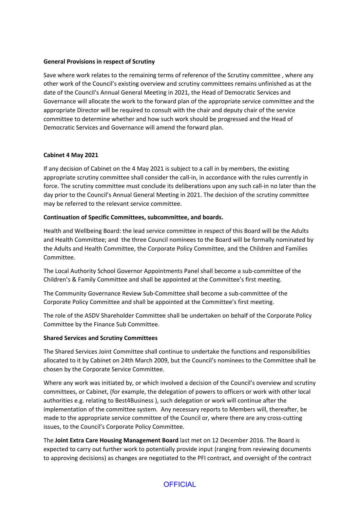#### **General Provisions in respect of Scrutiny**

Save where work relates to the remaining terms of reference of the Scrutiny committee , where any other work of the Council's existing overview and scrutiny committees remains unfinished as at the date of the Council's Annual General Meeting in 2021, the Head of Democratic Services and Governance will allocate the work to the forward plan of the appropriate service committee and the appropriate Director will be required to consult with the chair and deputy chair of the service committee to determine whether and how such work should be progressed and the Head of Democratic Services and Governance will amend the forward plan.

#### **Cabinet 4 May 2021**

If any decision of Cabinet on the 4 May 2021 is subject to a call in by members, the existing appropriate scrutiny committee shall consider the call-in, in accordance with the rules currently in force. The scrutiny committee must conclude its deliberations upon any such call-in no later than the day prior to the Council's Annual General Meeting in 2021. The decision of the scrutiny committee may be referred to the relevant service committee.

#### **Continuation of Specific Committees, subcommittee, and boards.**

Health and Wellbeing Board: the lead service committee in respect of this Board will be the Adults and Health Committee; and the three Council nominees to the Board will be formally nominated by the Adults and Health Committee, the Corporate Policy Committee, and the Children and Families Committee.

The Local Authority School Governor Appointments Panel shall become a sub-committee of the Children's & Family Committee and shall be appointed at the Committee's first meeting.

The Community Governance Review Sub-Committee shall become a sub-committee of the Corporate Policy Committee and shall be appointed at the Committee's first meeting.

The role of the ASDV Shareholder Committee shall be undertaken on behalf of the Corporate Policy Committee by the Finance Sub Committee.

#### **Shared Services and Scrutiny Committees**

The Shared Services Joint Committee shall continue to undertake the functions and responsibilities allocated to it by Cabinet on 24th March 2009, but the Council's nominees to the Committee shall be chosen by the Corporate Service Committee.

Where any work was initiated by, or which involved a decision of the Council's overview and scrutiny committees, or Cabinet, (for example, the delegation of powers to officers or work with other local authorities e.g. relating to Best4Business ), such delegation or work will continue after the implementation of the committee system. Any necessary reports to Members will, thereafter, be made to the appropriate service committee of the Council or, where there are any cross-cutting issues, to the Council's Corporate Policy Committee.

The **Joint Extra Care Housing Management Board** last met on 12 December 2016. The Board is expected to carry out further work to potentially provide input (ranging from reviewing documents to approving decisions) as changes are negotiated to the PFI contract, and oversight of the contract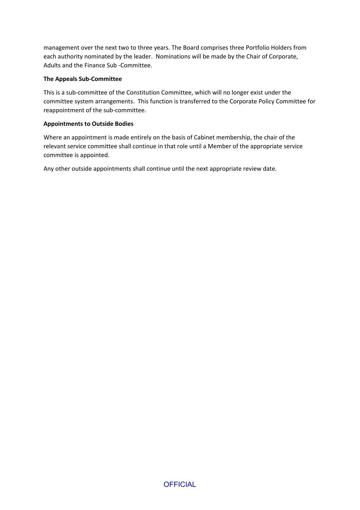management over the next two to three years. The Board comprises three Portfolio Holders from each authority nominated by the leader. Nominations will be made by the Chair of Corporate, Adults and the Finance Sub -Committee.

#### **The Appeals Sub-Committee**

This is a sub-committee of the Constitution Committee, which will no longer exist under the committee system arrangements. This function is transferred to the Corporate Policy Committee for reappointment of the sub-committee.

#### **Appointments to Outside Bodies**

Where an appointment is made entirely on the basis of Cabinet membership, the chair of the relevant service committee shall continue in that role until a Member of the appropriate service committee is appointed.

Any other outside appointments shall continue until the next appropriate review date.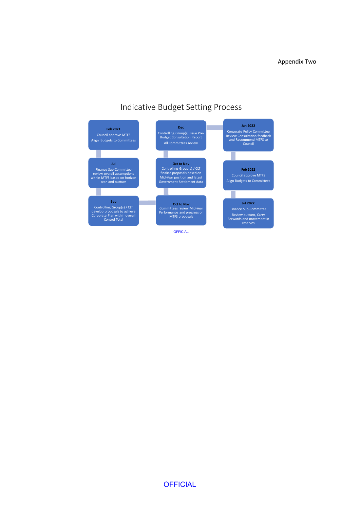# Indicative Budget Setting Process